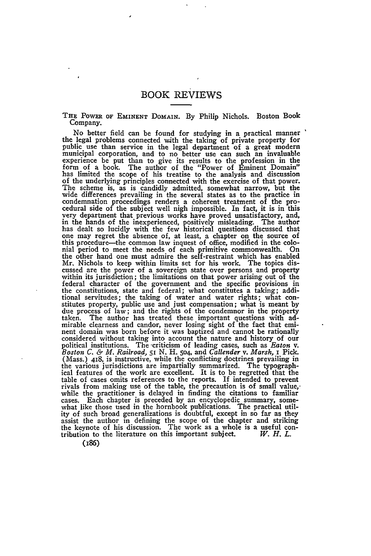THE POWER **OF EMINENT DOMAIN.** By Philip Nichols. Boston Book Company.

No better field can be found for studying in a practical manner the legal problems connected with the taking of private property for public use than service in the legal department of a great modern municipal corporation, and to no better use can such an invaluable experience be put than to give its results to the profession in the form of a book. The author of the "Power of Eminent Domain" has limited the scope of his treatise to the analysis and discussion of the underlying principles connected with the exercise of that power. The scheme is, as is candidly admitted, somewhat narrow, but the wide differences prevailing in the several states as to the practice in condemnation proceedings renders a coherent treatment of the pro- cedural side of the subject well nigh impossible. In fact, it is in this very department that previous works have proved unsatisfactory, and, in the hands of the inexperienced, positively misleading. The author has dealt so lucidly with the few historical questions discussed that one may regret the absence of, at least, a chapter on the source of this procedure-the common law inquest of office, modified in the colonial period to meet the needs of each primitive commonwealth. On the other hand one must admire the self-restraint which has enabled Mr. Nichols to keep within limits set for his work. The topics discussed are the power of a sovereign state over persons and property within its jurisdiction; the limitations on that power arising out of the federal character of the government and the specific provisions in the constitutions, state and federal; what constitutes a taking; addithe constructions, state and reduction services a calculate state in the constructional servicities; the taking of water and water rights; what constitutes property, public use and just compensation; what is meant by due p mirable clearness and candor, never losing sight of the fact that eminent domain was born before it was baptized and cannot be rationally considered without taking into account the nature and history of our<br>political institutions. The criticism of leading cases, such as *Eaton* v.<br>*Boston C. & M. Railroad,* 51 N. H. 504, and *Callender* v. *Marsh*, I Pick.<br> the various jurisdictions are impartially summarized. The typographical features of the work are excellent. It is to be regretted that the table of cases omits references to the reports. If intended to prevent table of cases omits references to the reports. If intended to prevent rivals from making use of the table, the precaution is of small value,' while the practitioner is delayed in finding the citations to familiar cases. Each chapter is preceded by an encyclopedic summary, somewhat like those used in the hornbook publications. The practical utilwhat has the separatizations is doubtful, except in so far as they<br>assist the author in defining the scope of the chapter and striking<br>the keynote of his discussion. The work as a whole is a useful con-<br>tribution to the l

(i86)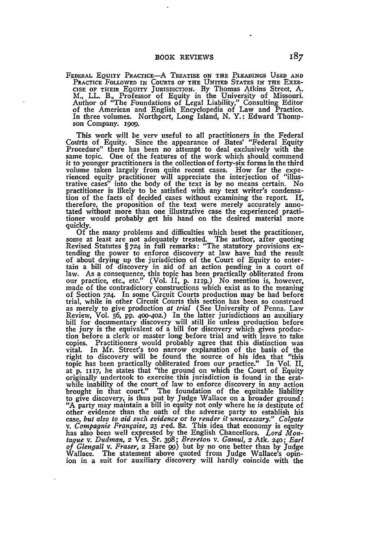FEDERAL **EQUITY** PRACTICE-A TREATISE **ON** THE PLEADINGS USED **AND** PRACTICE FOLLOWED IN COURTS OF THE UNITED STATES IN THE EXERCISE OF THEIR EQUITY JURISDICTION. By Thomas Atkins Street, A. M., LL. B., Professor of Equity in the University of Missouri. Author of "The Foundations of Legal of the American and English Encyclopedia of Law and Practice. In three volumes. Northport, Long Island, N. Y.: Edward Thomp- son Company. i9og.

This work will be very useful to all practitioners in the Federal Courts of Equity. Since the appearance of Bates' "Federal Equity Procedure" there has been no attempt to deal exclusively with the same topic. One of the features of the work which should commend it to younger practitioners is the collection of forty-six forms in the third volume taken largely from quite recent cases. How far the experienced equity practitioner will appreciate the interjection of "illus-trative cases" into the body of the text is **by** no means certain. No practitioner is likely to be satisfied with any text writer's condensation of the facts of decided cases without examining the report. **If,** therefore, the proposition of the text were merely accurately anno- tated without more than one illustrative case the experienced practitioner would probably get his hand on the desired material more quickly.<br>Of the many problems and difficulties which beset the practitioner,

**Of** the many problems and difficulties which beset the practitioner, some at least are not adequately treated. The author, after quoting Revised Statutes § **724** in full remarks: "The statutory provisions ex- tending the power to enforce discovery at law have had the result of about drying up the jurisdiction of the Court of Equity to enter-tain a bill **of** discovery in aid of an action pending in a court of law. As a consequence, this topic has been practically obliterated from<br>our practice, etc., etc." (Vol. II, p. 1119.) No mention is, however,<br>made of the contradictory constructions which exist as to the meaning<br>of Section trial, while in other Circuit Courts this section has been so construed as merely to give production *at trial* (See University of Penna. Law Review, Vol. 56, pp. 400-402.) In the latter jurisdictions an auxiliary<br>bill for documentary discovery will still lie unless production before<br>the jury is the equivalent of a bill for discovery which gives production before a clerk or master long before trial and with leave to take copies. Practitioners would probably agree that this distinction was copies. Practitioners would probably agree that this distinction was vital. In Mr. Street's too narrow explanation of the basis of the right to discovery will be found the source of his idea that "this topic has been practically obliterated from our practice." In Vol. II, at p. 1117, he states that "the ground on which the Court of Equity originally undertook to exercise this jurisdiction is found in the erstwhile inability of the court of law to enforce discovery in any action brought in that court." The foundation of the equitable liability **to** give discovery, is thus put **by** Judge Wallace on a broader ground: "A party may maintain a bill in equity not only where he is destitute of other evidence than the oath of the adverse party to establish his case, but also to aid such evidence or to render it unnecessary." Colgate v. Compagnie Française, 23 red. 82. This idea that economy is equity has also bee *tague v. Dudman,* 2 Ves. Sr. **398;** *Brereton v. Gantul,* 2 Atk. 24o; *Earl of Glengall v. Fraser,* 2 Hare **99)** but **by** no one better than **by** Judge Wallace. The statement above quoted from Judge Wallace's opin- ion in a suit for auxiliary discovery will hardly coincide with the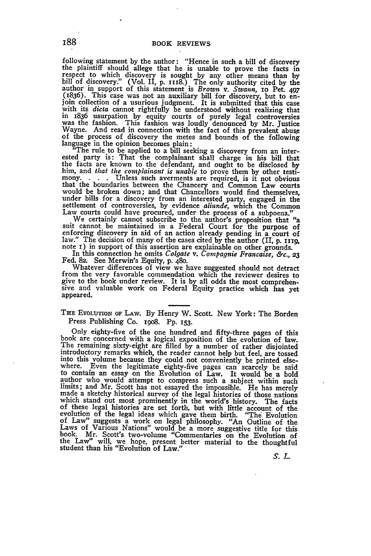following statement **by** the author: "Hence in such a bill of discovery the plaintiff should allege that he is unable to prove the facts in respect to which discovery is sought by any other means than by<br>bill of discovery." (Vol. II, p. 1118.) The only authority cited by the<br>author in support of this statement is *Brown* v. Swann, 10 Pet. 497 (1836). This case was not an auxiliary bill for discovery, but to en- join collection of a usurious judgment. It is submitted that this case with its *dicta* cannot rightfully be understood without realizing that in 1836 usurpation **by** equity courts of purely legal controversies was the fashion. This fashion was loudly denounced **by** Mr. Justice Wayne. And read in connection with the fact of this prevalent abuse of the process of discovery the metes and bounds of the following<br>language in the opinion becomes plain:<br>"The rule to be applied to a bill seeking a discovery from an inter-<br>ested party is: That the complainant shall charg

the facts are known to the defendant, and ought to be disclosed by him, and *that the complainant is unable* to prove them **by** other testimony. . **.** . Unless such averments are required, is it not obvious that the boundaries between the Chancery and Common Law courts would be broken down; and that Chancellors would find themselves, under bills for a discovery from an interested party, engaged in the settlement of controversies, **by** evidence *aliunde,* which the Common

Law courts could have procured, under the process of a subpoena."<br>We certainly cannot subscribe to the author's proposition that "a<br>suit cannot be maintained in a Federal Court for the purpose of enforcing discovery in aid of an action already pending in a court of law." The decision of many of the cases cited by the author (II, p. 1119, note 1) in support of this assertion are explainable on other grounds. In thi

In this connection he omits *Colgate* v. *Compagnie Francaise*, &*c.*, 23<br>Fed. 82. See Merwin's Equity, p. 480.

Whatever differences of view we have suggested should not detract from the very favorable commendation which the reviewer desires to give to the book under review. It is **by** all odds the most comprehen. sive and valuable work on Federal Equity practice which has yet appeared.

**T3E** EvOLUTION **OF** LAw. **By** Henry W. Scott. New York: The Borden Press Publishing Co. **19o8.** Pp. **153.**

Only eighty-five of the one hundred and fifty-three pages of this book are concerned with a logical exposition of the evolution of law. The remaining sixty-eight are filled **by** a number of rather disjointed introductory remarks which, the reader cannot help but feel, are tossed into this volume because they could not conveniently be printed else-where. Even the legitimate eighty-five pages can scarcely be said to contain an essay on the Evolution of Law. It would **be** a bold author who would attempt to compress such a subject within such limits; and Mr. Scott has not essayed the impossible. He has merely made a sketchy historical survey of the legal histories of those nations which stand out most prominently in the world's history. The facts of these legal histories are set forth, but with little account of the evolution of the legal ideas which gave them birth. **"The** Evolution of Law" suggests a work on legal philosophy. "An Outline of the Laws of Various Nations" would be a more suggestive title for this book. Mr. Scott's two-volume "Commentaries on the Evolution of the Law" will, we hope, present better material to the thoughtful student than his "Evolution of Law."

*S. L.*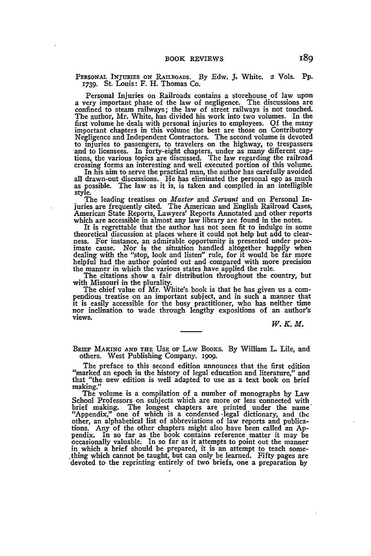PERSONAL INJURIES **ON** RAILROADS. By Edw. *J,* White. 2 Vols. Pp. 1739. St. Louis: F. H. Thomas Co.

Personal Injuries on Railroads contains a storehouse of law upon a very important phase of the law of negligence. The discussions are confined to steam railways; the law of street railways is not touched. The author, Mr. White, has divided his work into two volumes. In the first volume he deals with personal injuries to employees. Of the many important chapters in this volume the best are those on Contributory Negligence and Independent Contractors. The second volume is devoted to injuries to passengers, to travelers on the highway, to trespassers and to licensees. In forty-eight chapters, under as many different cap-tions, the various topics are discussed. The law regarding the railroad crossing forms an interesting and well executed portion of this volume.

In his aim to serve the practical man, the author has carefully avoided as possible. The law as it is, is taken and compiled in an intelligible style.

The leading treatises on *Master* and *Servant* and on Personal In-juries are frequently cited. The American and English Railroad Cases, American State Reports, Lawyers' Reports Annotated and other reports which are accessible in almost any law library are found in the notes.

It is regrettable that the author has not seen fit to indulge in some theoretical discussion at places where it could not help but add to clear- ness. For instance, an admirable opportunity is presented under proximate cause. Nor is the situation handled altogether happily when dealing with the "stop, look and listen" rule, for it would be far more helpful had the author pointed out and compared with more precision the manner in which the various states have applied the rule.

The citations show a fair distribution throughout the country, but with Missouri in the plurality.

The chief value of Mr. White's book is that he has given us a com-<br>pendious treatise on an important subject, and in such a manner that it is easily accessible for the busy practitioner, who has neither time nor inclination to wade through lengthy expositions of an author's views.

*W.K.M.*

BRIEF MAKING AND THE USE OF LAW BOOKS. By William L. Lile, and others. West Publishing Company. x9o9.

The preface to this second edition announces that the first edition "marked an epoch in the history of legal education and literature," and that "the new edition is well adapted to use as a text book on brief

making." The volume is a compilation of a number of monographs by Law School Professors on subjects which are more or less connected with<br>brief making. The longest chapters are printed under the name<br>"Appendix," one of which is a condensed legal dictionary, and the<br>other, an alphabetical lis tions. Any of the other chapters might also have been called an **Ap**pendix. In so far as the book contains reference matter it may be occasionally valuable. In so far as it attempts to point out the manner in which a brief should be prepared, it is an attempt to teach some-<br>thing which cannot be taught, but can only be learned. Fifty pages are<br>devoted to the reprinting entirely of two briefs, one a preparation by